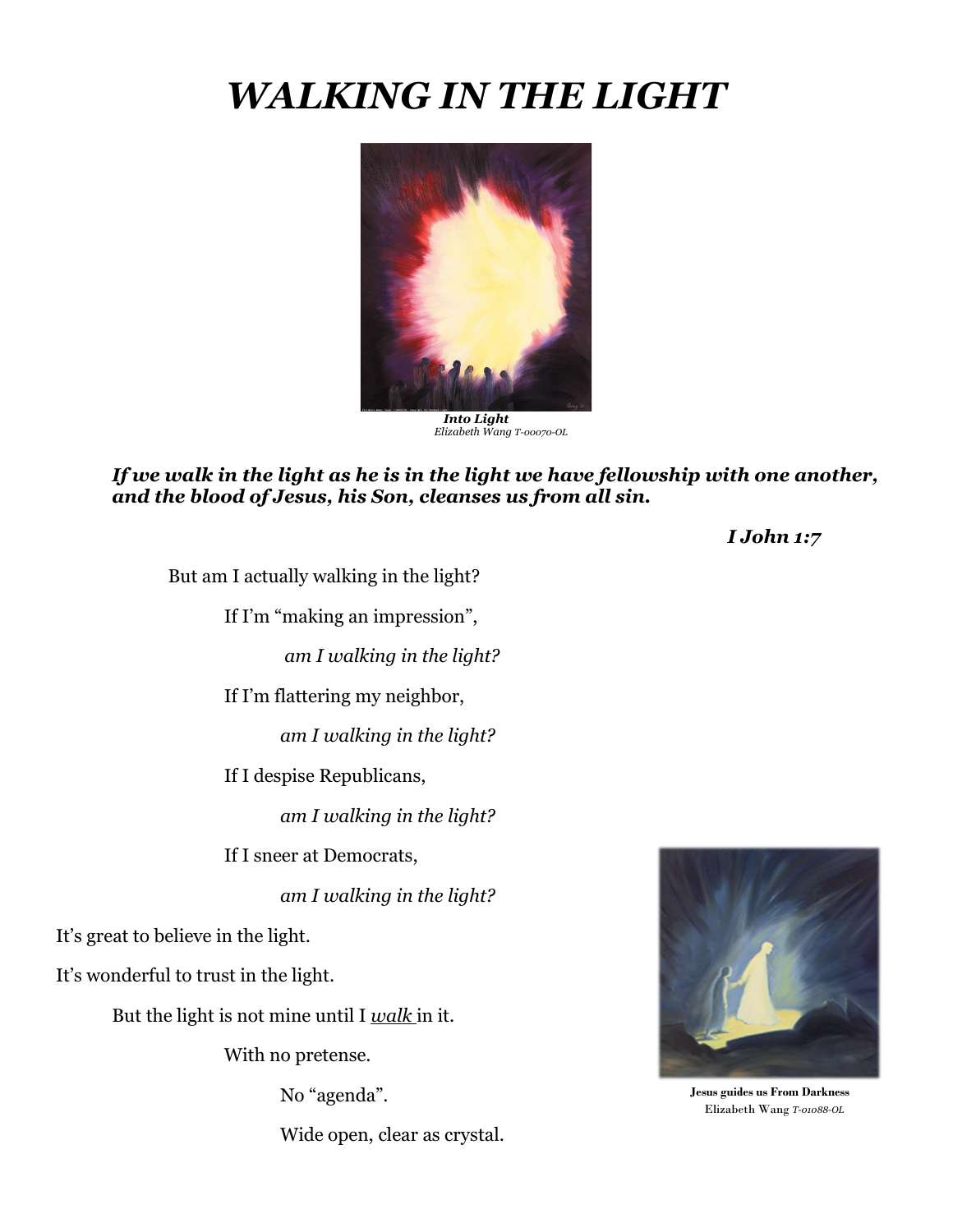## *WALKING IN THE LIGHT*



*Into Light Elizabeth Wang T-00070-OL*

*If we walk in the light as he is in the light we have fellowship with one another, and the blood of Jesus, his Son, cleanses us from all sin.*

But am I actually walking in the light?

If I'm "making an impression",

*am I walking in the light?*

If I'm flattering my neighbor,

*am I walking in the light?*

If I despise Republicans,

*am I walking in the light?*

If I sneer at Democrats,

*am I walking in the light?*

It's great to believe in the light.

It's wonderful to trust in the light.

But the light is not mine until I *walk* in it.

With no pretense.

No "agenda".

Wide open, clear as crystal.

## *I John 1:7*



**Jesus guides us From Darkness** Elizabeth Wang *T-01088-OL*